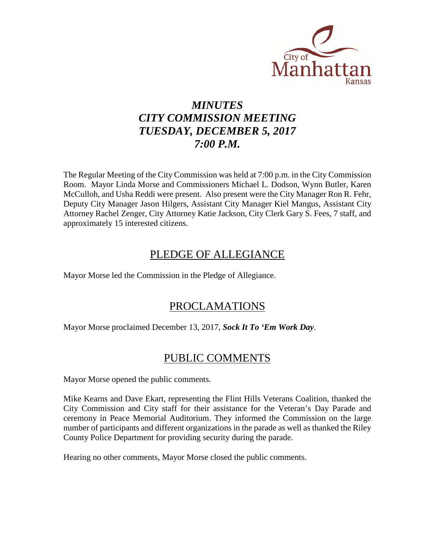

# *MINUTES CITY COMMISSION MEETING TUESDAY, DECEMBER 5, 2017 7:00 P.M.*

The Regular Meeting of the City Commission was held at 7:00 p.m. in the City Commission Room. Mayor Linda Morse and Commissioners Michael L. Dodson, Wynn Butler, Karen McCulloh, and Usha Reddi were present. Also present were the City Manager Ron R. Fehr, Deputy City Manager Jason Hilgers, Assistant City Manager Kiel Mangus, Assistant City Attorney Rachel Zenger, City Attorney Katie Jackson, City Clerk Gary S. Fees, 7 staff, and approximately 15 interested citizens.

# PLEDGE OF ALLEGIANCE

Mayor Morse led the Commission in the Pledge of Allegiance.

# PROCLAMATIONS

Mayor Morse proclaimed December 13, 2017, *Sock It To 'Em Work Day*.

# PUBLIC COMMENTS

Mayor Morse opened the public comments.

Mike Kearns and Dave Ekart, representing the Flint Hills Veterans Coalition, thanked the City Commission and City staff for their assistance for the Veteran's Day Parade and ceremony in Peace Memorial Auditorium. They informed the Commission on the large number of participants and different organizations in the parade as well as thanked the Riley County Police Department for providing security during the parade.

Hearing no other comments, Mayor Morse closed the public comments.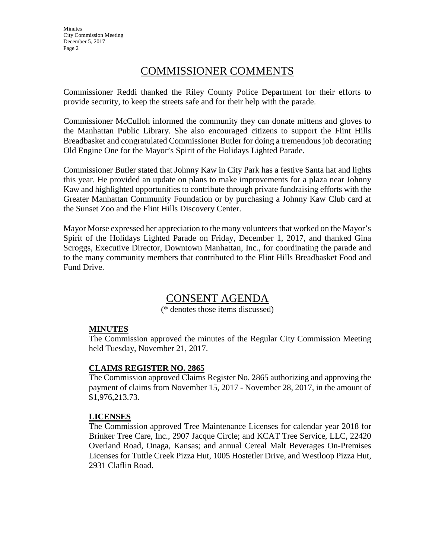# COMMISSIONER COMMENTS

Commissioner Reddi thanked the Riley County Police Department for their efforts to provide security, to keep the streets safe and for their help with the parade.

Commissioner McCulloh informed the community they can donate mittens and gloves to the Manhattan Public Library. She also encouraged citizens to support the Flint Hills Breadbasket and congratulated Commissioner Butler for doing a tremendous job decorating Old Engine One for the Mayor's Spirit of the Holidays Lighted Parade.

Commissioner Butler stated that Johnny Kaw in City Park has a festive Santa hat and lights this year. He provided an update on plans to make improvements for a plaza near Johnny Kaw and highlighted opportunities to contribute through private fundraising efforts with the Greater Manhattan Community Foundation or by purchasing a Johnny Kaw Club card at the Sunset Zoo and the Flint Hills Discovery Center.

Mayor Morse expressed her appreciation to the many volunteers that worked on the Mayor's Spirit of the Holidays Lighted Parade on Friday, December 1, 2017, and thanked Gina Scroggs, Executive Director, Downtown Manhattan, Inc., for coordinating the parade and to the many community members that contributed to the Flint Hills Breadbasket Food and Fund Drive.

# CONSENT AGENDA

(\* denotes those items discussed)

## **MINUTES**

The Commission approved the minutes of the Regular City Commission Meeting held Tuesday, November 21, 2017.

## **CLAIMS REGISTER NO. 2865**

The Commission approved Claims Register No. 2865 authorizing and approving the payment of claims from November 15, 2017 - November 28, 2017, in the amount of \$1,976,213.73.

## **LICENSES**

The Commission approved Tree Maintenance Licenses for calendar year 2018 for Brinker Tree Care, Inc., 2907 Jacque Circle; and KCAT Tree Service, LLC, 22420 Overland Road, Onaga, Kansas; and annual Cereal Malt Beverages On-Premises Licenses for Tuttle Creek Pizza Hut, 1005 Hostetler Drive, and Westloop Pizza Hut, 2931 Claflin Road.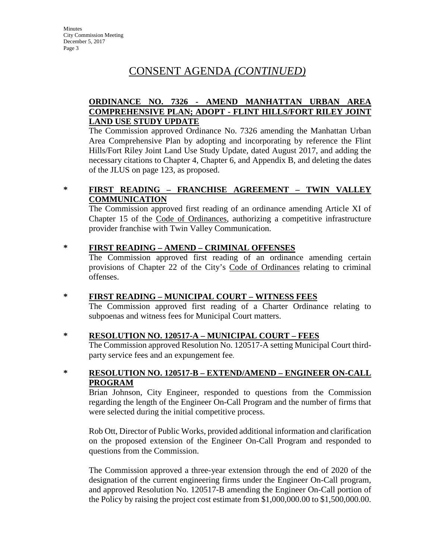# CONSENT AGENDA *(CONTINUED)*

# **ORDINANCE NO. 7326 - AMEND MANHATTAN URBAN AREA COMPREHENSIVE PLAN; ADOPT - FLINT HILLS/FORT RILEY JOINT LAND USE STUDY UPDATE**

The Commission approved Ordinance No. 7326 amending the Manhattan Urban Area Comprehensive Plan by adopting and incorporating by reference the Flint Hills/Fort Riley Joint Land Use Study Update, dated August 2017, and adding the necessary citations to Chapter 4, Chapter 6, and Appendix B, and deleting the dates of the JLUS on page 123, as proposed.

# **\* FIRST READING – FRANCHISE AGREEMENT – TWIN VALLEY COMMUNICATION**

The Commission approved first reading of an ordinance amending Article XI of Chapter 15 of the Code of Ordinances, authorizing a competitive infrastructure provider franchise with Twin Valley Communication.

### **\* FIRST READING – AMEND – CRIMINAL OFFENSES**

The Commission approved first reading of an ordinance amending certain provisions of Chapter 22 of the City's Code of Ordinances relating to criminal offenses.

## **\* FIRST READING – MUNICIPAL COURT – WITNESS FEES**

The Commission approved first reading of a Charter Ordinance relating to subpoenas and witness fees for Municipal Court matters.

#### **\* RESOLUTION NO. 120517-A – MUNICIPAL COURT – FEES**

The Commission approved Resolution No. 120517-A setting Municipal Court thirdparty service fees and an expungement fee.

## **\* RESOLUTION NO. 120517-B – EXTEND/AMEND – ENGINEER ON-CALL PROGRAM**

Brian Johnson, City Engineer, responded to questions from the Commission regarding the length of the Engineer On-Call Program and the number of firms that were selected during the initial competitive process.

Rob Ott, Director of Public Works, provided additional information and clarification on the proposed extension of the Engineer On-Call Program and responded to questions from the Commission.

The Commission approved a three-year extension through the end of 2020 of the designation of the current engineering firms under the Engineer On-Call program, and approved Resolution No. 120517-B amending the Engineer On-Call portion of the Policy by raising the project cost estimate from \$1,000,000.00 to \$1,500,000.00.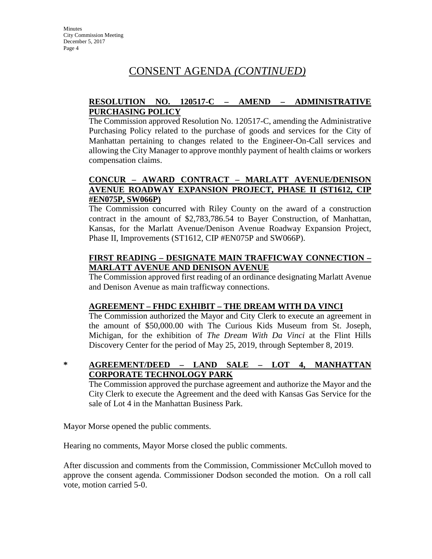# CONSENT AGENDA *(CONTINUED)*

# **RESOLUTION NO. 120517-C – AMEND – ADMINISTRATIVE PURCHASING POLICY**

The Commission approved Resolution No. 120517-C, amending the Administrative Purchasing Policy related to the purchase of goods and services for the City of Manhattan pertaining to changes related to the Engineer-On-Call services and allowing the City Manager to approve monthly payment of health claims or workers compensation claims.

## **CONCUR – AWARD CONTRACT – MARLATT AVENUE/DENISON AVENUE ROADWAY EXPANSION PROJECT, PHASE II (ST1612, CIP #EN075P, SW066P)**

The Commission concurred with Riley County on the award of a construction contract in the amount of \$2,783,786.54 to Bayer Construction, of Manhattan, Kansas, for the Marlatt Avenue/Denison Avenue Roadway Expansion Project, Phase II, Improvements (ST1612, CIP #EN075P and SW066P).

## **FIRST READING – DESIGNATE MAIN TRAFFICWAY CONNECTION – MARLATT AVENUE AND DENISON AVENUE**

The Commission approved first reading of an ordinance designating Marlatt Avenue and Denison Avenue as main trafficway connections.

## **AGREEMENT – FHDC EXHIBIT – THE DREAM WITH DA VINCI**

The Commission authorized the Mayor and City Clerk to execute an agreement in the amount of \$50,000.00 with The Curious Kids Museum from St. Joseph, Michigan, for the exhibition of *The Dream With Da Vinci* at the Flint Hills Discovery Center for the period of May 25, 2019, through September 8, 2019.

# **\* AGREEMENT/DEED – LAND SALE – LOT 4, MANHATTAN CORPORATE TECHNOLOGY PARK**

The Commission approved the purchase agreement and authorize the Mayor and the City Clerk to execute the Agreement and the deed with Kansas Gas Service for the sale of Lot 4 in the Manhattan Business Park.

Mayor Morse opened the public comments.

Hearing no comments, Mayor Morse closed the public comments.

After discussion and comments from the Commission, Commissioner McCulloh moved to approve the consent agenda. Commissioner Dodson seconded the motion. On a roll call vote, motion carried 5-0.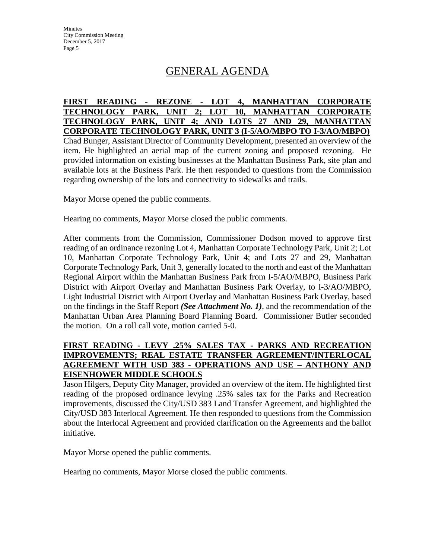# GENERAL AGENDA

# **FIRST READING - REZONE - LOT 4, MANHATTAN CORPORATE TECHNOLOGY PARK, UNIT 2; LOT 10, MANHATTAN CORPORATE TECHNOLOGY PARK, UNIT 4; AND LOTS 27 AND 29, MANHATTAN CORPORATE TECHNOLOGY PARK, UNIT 3 (I-5/AO/MBPO TO I-3/AO/MBPO)**

Chad Bunger, Assistant Director of Community Development, presented an overview of the item. He highlighted an aerial map of the current zoning and proposed rezoning. He provided information on existing businesses at the Manhattan Business Park, site plan and available lots at the Business Park. He then responded to questions from the Commission regarding ownership of the lots and connectivity to sidewalks and trails.

Mayor Morse opened the public comments.

Hearing no comments, Mayor Morse closed the public comments.

After comments from the Commission, Commissioner Dodson moved to approve first reading of an ordinance rezoning Lot 4, Manhattan Corporate Technology Park, Unit 2; Lot 10, Manhattan Corporate Technology Park, Unit 4; and Lots 27 and 29, Manhattan Corporate Technology Park, Unit 3, generally located to the north and east of the Manhattan Regional Airport within the Manhattan Business Park from I-5/AO/MBPO, Business Park District with Airport Overlay and Manhattan Business Park Overlay, to I-3/AO/MBPO, Light Industrial District with Airport Overlay and Manhattan Business Park Overlay, based on the findings in the Staff Report *(See Attachment No. 1)*, and the recommendation of the Manhattan Urban Area Planning Board Planning Board. Commissioner Butler seconded the motion. On a roll call vote, motion carried 5-0.

## **FIRST READING - LEVY .25% SALES TAX - PARKS AND RECREATION IMPROVEMENTS; REAL ESTATE TRANSFER AGREEMENT/INTERLOCAL AGREEMENT WITH USD 383 - OPERATIONS AND USE – ANTHONY AND EISENHOWER MIDDLE SCHOOLS**

Jason Hilgers, Deputy City Manager, provided an overview of the item. He highlighted first reading of the proposed ordinance levying .25% sales tax for the Parks and Recreation improvements, discussed the City/USD 383 Land Transfer Agreement, and highlighted the City/USD 383 Interlocal Agreement. He then responded to questions from the Commission about the Interlocal Agreement and provided clarification on the Agreements and the ballot initiative.

Mayor Morse opened the public comments.

Hearing no comments, Mayor Morse closed the public comments.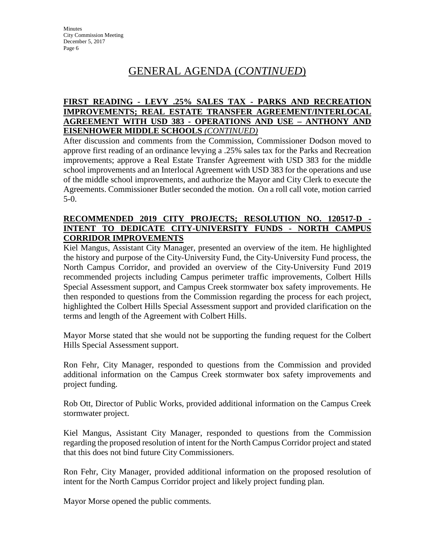## **FIRST READING - LEVY .25% SALES TAX - PARKS AND RECREATION IMPROVEMENTS; REAL ESTATE TRANSFER AGREEMENT/INTERLOCAL AGREEMENT WITH USD 383 - OPERATIONS AND USE – ANTHONY AND EISENHOWER MIDDLE SCHOOLS** *(CONTINUED)*

After discussion and comments from the Commission, Commissioner Dodson moved to approve first reading of an ordinance levying a .25% sales tax for the Parks and Recreation improvements; approve a Real Estate Transfer Agreement with USD 383 for the middle school improvements and an Interlocal Agreement with USD 383 for the operations and use of the middle school improvements, and authorize the Mayor and City Clerk to execute the Agreements. Commissioner Butler seconded the motion. On a roll call vote, motion carried 5-0.

#### **RECOMMENDED 2019 CITY PROJECTS; RESOLUTION NO. 120517-D - INTENT TO DEDICATE CITY-UNIVERSITY FUNDS - NORTH CAMPUS CORRIDOR IMPROVEMENTS**

Kiel Mangus, Assistant City Manager, presented an overview of the item. He highlighted the history and purpose of the City-University Fund, the City-University Fund process, the North Campus Corridor, and provided an overview of the City-University Fund 2019 recommended projects including Campus perimeter traffic improvements, Colbert Hills Special Assessment support, and Campus Creek stormwater box safety improvements. He then responded to questions from the Commission regarding the process for each project, highlighted the Colbert Hills Special Assessment support and provided clarification on the terms and length of the Agreement with Colbert Hills.

Mayor Morse stated that she would not be supporting the funding request for the Colbert Hills Special Assessment support.

Ron Fehr, City Manager, responded to questions from the Commission and provided additional information on the Campus Creek stormwater box safety improvements and project funding.

Rob Ott, Director of Public Works, provided additional information on the Campus Creek stormwater project.

Kiel Mangus, Assistant City Manager, responded to questions from the Commission regarding the proposed resolution of intent for the North Campus Corridor project and stated that this does not bind future City Commissioners.

Ron Fehr, City Manager, provided additional information on the proposed resolution of intent for the North Campus Corridor project and likely project funding plan.

Mayor Morse opened the public comments.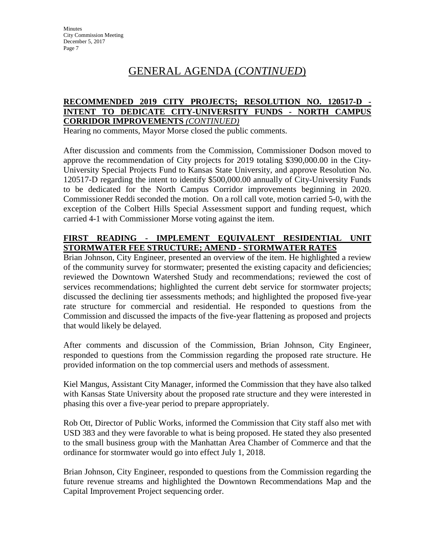## **RECOMMENDED 2019 CITY PROJECTS; RESOLUTION NO. 120517-D - INTENT TO DEDICATE CITY-UNIVERSITY FUNDS - NORTH CAMPUS CORRIDOR IMPROVEMENTS** *(CONTINUED)*

Hearing no comments, Mayor Morse closed the public comments.

After discussion and comments from the Commission, Commissioner Dodson moved to approve the recommendation of City projects for 2019 totaling \$390,000.00 in the City-University Special Projects Fund to Kansas State University, and approve Resolution No. 120517-D regarding the intent to identify \$500,000.00 annually of City-University Funds to be dedicated for the North Campus Corridor improvements beginning in 2020. Commissioner Reddi seconded the motion. On a roll call vote, motion carried 5-0, with the exception of the Colbert Hills Special Assessment support and funding request, which carried 4-1 with Commissioner Morse voting against the item.

# **FIRST READING - IMPLEMENT EQUIVALENT RESIDENTIAL UNIT STORMWATER FEE STRUCTURE; AMEND - STORMWATER RATES**

Brian Johnson, City Engineer, presented an overview of the item. He highlighted a review of the community survey for stormwater; presented the existing capacity and deficiencies; reviewed the Downtown Watershed Study and recommendations; reviewed the cost of services recommendations; highlighted the current debt service for stormwater projects; discussed the declining tier assessments methods; and highlighted the proposed five-year rate structure for commercial and residential. He responded to questions from the Commission and discussed the impacts of the five-year flattening as proposed and projects that would likely be delayed.

After comments and discussion of the Commission, Brian Johnson, City Engineer, responded to questions from the Commission regarding the proposed rate structure. He provided information on the top commercial users and methods of assessment.

Kiel Mangus, Assistant City Manager, informed the Commission that they have also talked with Kansas State University about the proposed rate structure and they were interested in phasing this over a five-year period to prepare appropriately.

Rob Ott, Director of Public Works, informed the Commission that City staff also met with USD 383 and they were favorable to what is being proposed. He stated they also presented to the small business group with the Manhattan Area Chamber of Commerce and that the ordinance for stormwater would go into effect July 1, 2018.

Brian Johnson, City Engineer, responded to questions from the Commission regarding the future revenue streams and highlighted the Downtown Recommendations Map and the Capital Improvement Project sequencing order.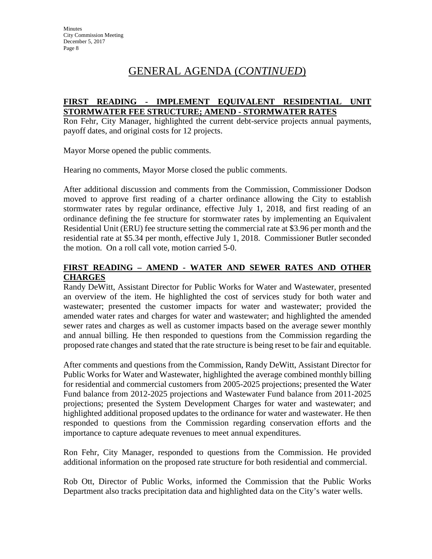## **FIRST READING - IMPLEMENT EQUIVALENT RESIDENTIAL UNIT STORMWATER FEE STRUCTURE; AMEND - STORMWATER RATES**

Ron Fehr, City Manager, highlighted the current debt-service projects annual payments, payoff dates, and original costs for 12 projects.

Mayor Morse opened the public comments.

Hearing no comments, Mayor Morse closed the public comments.

After additional discussion and comments from the Commission, Commissioner Dodson moved to approve first reading of a charter ordinance allowing the City to establish stormwater rates by regular ordinance, effective July 1, 2018, and first reading of an ordinance defining the fee structure for stormwater rates by implementing an Equivalent Residential Unit (ERU) fee structure setting the commercial rate at \$3.96 per month and the residential rate at \$5.34 per month, effective July 1, 2018. Commissioner Butler seconded the motion. On a roll call vote, motion carried 5-0.

## **FIRST READING – AMEND - WATER AND SEWER RATES AND OTHER CHARGES**

Randy DeWitt, Assistant Director for Public Works for Water and Wastewater, presented an overview of the item. He highlighted the cost of services study for both water and wastewater; presented the customer impacts for water and wastewater; provided the amended water rates and charges for water and wastewater; and highlighted the amended sewer rates and charges as well as customer impacts based on the average sewer monthly and annual billing. He then responded to questions from the Commission regarding the proposed rate changes and stated that the rate structure is being reset to be fair and equitable.

After comments and questions from the Commission, Randy DeWitt, Assistant Director for Public Works for Water and Wastewater, highlighted the average combined monthly billing for residential and commercial customers from 2005-2025 projections; presented the Water Fund balance from 2012-2025 projections and Wastewater Fund balance from 2011-2025 projections; presented the System Development Charges for water and wastewater; and highlighted additional proposed updates to the ordinance for water and wastewater. He then responded to questions from the Commission regarding conservation efforts and the importance to capture adequate revenues to meet annual expenditures.

Ron Fehr, City Manager, responded to questions from the Commission. He provided additional information on the proposed rate structure for both residential and commercial.

Rob Ott, Director of Public Works, informed the Commission that the Public Works Department also tracks precipitation data and highlighted data on the City's water wells.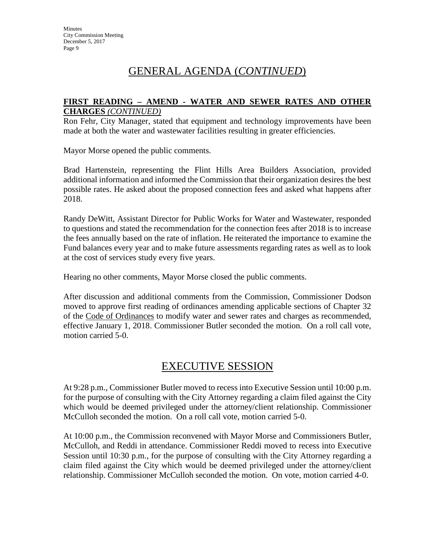#### **FIRST READING – AMEND - WATER AND SEWER RATES AND OTHER CHARGES** *(CONTINUED)*

Ron Fehr, City Manager, stated that equipment and technology improvements have been made at both the water and wastewater facilities resulting in greater efficiencies.

Mayor Morse opened the public comments.

Brad Hartenstein, representing the Flint Hills Area Builders Association, provided additional information and informed the Commission that their organization desires the best possible rates. He asked about the proposed connection fees and asked what happens after 2018.

Randy DeWitt, Assistant Director for Public Works for Water and Wastewater, responded to questions and stated the recommendation for the connection fees after 2018 is to increase the fees annually based on the rate of inflation. He reiterated the importance to examine the Fund balances every year and to make future assessments regarding rates as well as to look at the cost of services study every five years.

Hearing no other comments, Mayor Morse closed the public comments.

After discussion and additional comments from the Commission, Commissioner Dodson moved to approve first reading of ordinances amending applicable sections of Chapter 32 of the Code of Ordinances to modify water and sewer rates and charges as recommended, effective January 1, 2018. Commissioner Butler seconded the motion. On a roll call vote, motion carried 5-0.

# EXECUTIVE SESSION

At 9:28 p.m., Commissioner Butler moved to recess into Executive Session until 10:00 p.m. for the purpose of consulting with the City Attorney regarding a claim filed against the City which would be deemed privileged under the attorney/client relationship. Commissioner McCulloh seconded the motion. On a roll call vote, motion carried 5-0.

At 10:00 p.m., the Commission reconvened with Mayor Morse and Commissioners Butler, McCulloh, and Reddi in attendance. Commissioner Reddi moved to recess into Executive Session until 10:30 p.m., for the purpose of consulting with the City Attorney regarding a claim filed against the City which would be deemed privileged under the attorney/client relationship. Commissioner McCulloh seconded the motion. On vote, motion carried 4-0.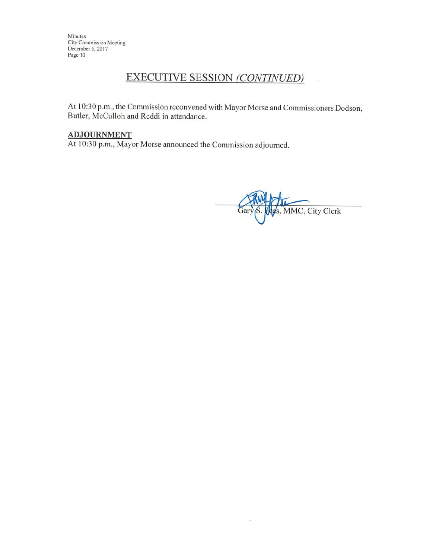# **EXECUTIVE SESSION (CONTINUED)**

At 10:30 p.m., the Commission reconvened with Mayor Morse and Commissioners Dodson, Butler, McCulloh and Reddi in attendance.

#### **ADJOURNMENT**

At 10:30 p.m., Mayor Morse announced the Commission adjourned.

s, MMC, City Clerk Gary

 $\widetilde{\mathcal{R}}$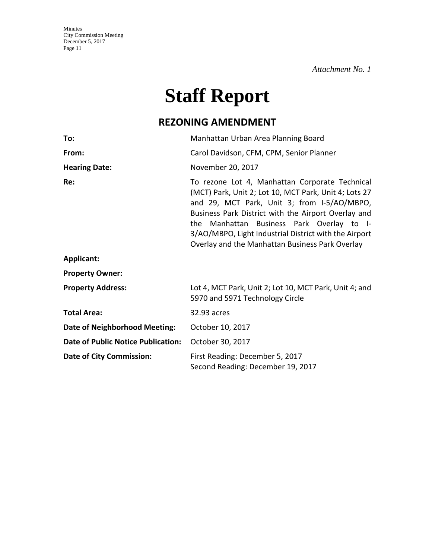*Attachment No. 1* 

# **Staff Report**

# **REZONING AMENDMENT**

| To:                                       | Manhattan Urban Area Planning Board                                                                                                                                                                                                                                                                                                                                    |
|-------------------------------------------|------------------------------------------------------------------------------------------------------------------------------------------------------------------------------------------------------------------------------------------------------------------------------------------------------------------------------------------------------------------------|
| From:                                     | Carol Davidson, CFM, CPM, Senior Planner                                                                                                                                                                                                                                                                                                                               |
| <b>Hearing Date:</b>                      | November 20, 2017                                                                                                                                                                                                                                                                                                                                                      |
| Re:                                       | To rezone Lot 4, Manhattan Corporate Technical<br>(MCT) Park, Unit 2; Lot 10, MCT Park, Unit 4; Lots 27<br>and 29, MCT Park, Unit 3; from I-5/AO/MBPO,<br>Business Park District with the Airport Overlay and<br>the Manhattan Business Park Overlay to I-<br>3/AO/MBPO, Light Industrial District with the Airport<br>Overlay and the Manhattan Business Park Overlay |
| <b>Applicant:</b>                         |                                                                                                                                                                                                                                                                                                                                                                        |
| <b>Property Owner:</b>                    |                                                                                                                                                                                                                                                                                                                                                                        |
| <b>Property Address:</b>                  | Lot 4, MCT Park, Unit 2; Lot 10, MCT Park, Unit 4; and<br>5970 and 5971 Technology Circle                                                                                                                                                                                                                                                                              |
| <b>Total Area:</b>                        | 32.93 acres                                                                                                                                                                                                                                                                                                                                                            |
| <b>Date of Neighborhood Meeting:</b>      | October 10, 2017                                                                                                                                                                                                                                                                                                                                                       |
| <b>Date of Public Notice Publication:</b> | October 30, 2017                                                                                                                                                                                                                                                                                                                                                       |
| <b>Date of City Commission:</b>           | First Reading: December 5, 2017<br>Second Reading: December 19, 2017                                                                                                                                                                                                                                                                                                   |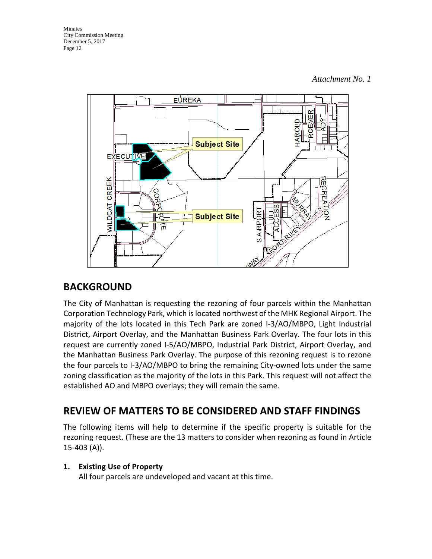

# **BACKGROUND**

The City of Manhattan is requesting the rezoning of four parcels within the Manhattan Corporation Technology Park, which is located northwest of the MHK Regional Airport. The majority of the lots located in this Tech Park are zoned I-3/AO/MBPO, Light Industrial District, Airport Overlay, and the Manhattan Business Park Overlay. The four lots in this request are currently zoned I-5/AO/MBPO, Industrial Park District, Airport Overlay, and the Manhattan Business Park Overlay. The purpose of this rezoning request is to rezone the four parcels to I-3/AO/MBPO to bring the remaining City-owned lots under the same zoning classification as the majority of the lots in this Park. This request will not affect the established AO and MBPO overlays; they will remain the same.

# **REVIEW OF MATTERS TO BE CONSIDERED AND STAFF FINDINGS**

The following items will help to determine if the specific property is suitable for the rezoning request. (These are the 13 matters to consider when rezoning as found in Article 15-403 (A)).

# **1. Existing Use of Property**

All four parcels are undeveloped and vacant at this time.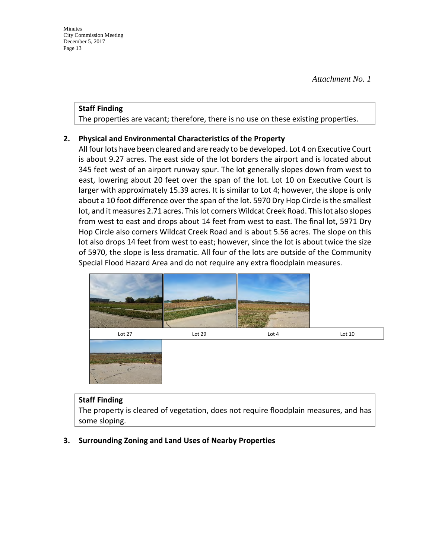#### **Staff Finding**

The properties are vacant; therefore, there is no use on these existing properties.

## **2. Physical and Environmental Characteristics of the Property**

All four lots have been cleared and are ready to be developed. Lot 4 on Executive Court is about 9.27 acres. The east side of the lot borders the airport and is located about 345 feet west of an airport runway spur. The lot generally slopes down from west to east, lowering about 20 feet over the span of the lot. Lot 10 on Executive Court is larger with approximately 15.39 acres. It is similar to Lot 4; however, the slope is only about a 10 foot difference over the span of the lot. 5970 Dry Hop Circle is the smallest lot, and it measures 2.71 acres. This lot corners Wildcat Creek Road. This lot also slopes from west to east and drops about 14 feet from west to east. The final lot, 5971 Dry Hop Circle also corners Wildcat Creek Road and is about 5.56 acres. The slope on this lot also drops 14 feet from west to east; however, since the lot is about twice the size of 5970, the slope is less dramatic. All four of the lots are outside of the Community Special Flood Hazard Area and do not require any extra floodplain measures.



#### **Staff Finding**

The property is cleared of vegetation, does not require floodplain measures, and has some sloping.

## **3. Surrounding Zoning and Land Uses of Nearby Properties**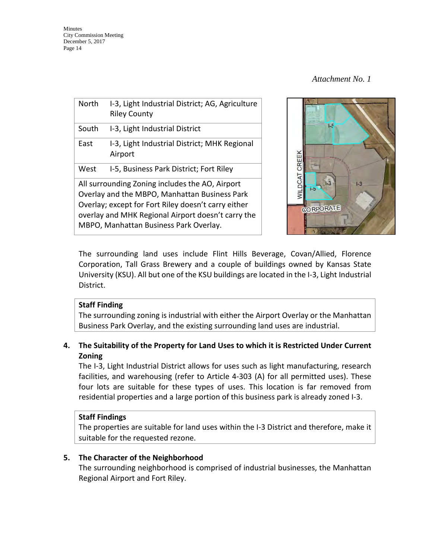| <b>North</b>                                                                                                                                                                                                                                            | I-3, Light Industrial District; AG, Agriculture<br><b>Riley County</b> |  |
|---------------------------------------------------------------------------------------------------------------------------------------------------------------------------------------------------------------------------------------------------------|------------------------------------------------------------------------|--|
| South                                                                                                                                                                                                                                                   | I-3, Light Industrial District                                         |  |
| East                                                                                                                                                                                                                                                    | I-3, Light Industrial District; MHK Regional<br>Airport                |  |
| West                                                                                                                                                                                                                                                    | I-5, Business Park District; Fort Riley                                |  |
| All surrounding Zoning includes the AO, Airport<br>Overlay and the MBPO, Manhattan Business Park<br>Overlay; except for Fort Riley doesn't carry either<br>overlay and MHK Regional Airport doesn't carry the<br>MBPO, Manhattan Business Park Overlay. |                                                                        |  |



The surrounding land uses include Flint Hills Beverage, Covan/Allied, Florence Corporation, Tall Grass Brewery and a couple of buildings owned by Kansas State University (KSU). All but one of the KSU buildings are located in the I-3, Light Industrial District.

## **Staff Finding**

The surrounding zoning is industrial with either the Airport Overlay or the Manhattan Business Park Overlay, and the existing surrounding land uses are industrial.

## **4. The Suitability of the Property for Land Uses to which it is Restricted Under Current Zoning**

The I-3, Light Industrial District allows for uses such as light manufacturing, research facilities, and warehousing (refer to Article 4-303 (A) for all permitted uses). These four lots are suitable for these types of uses. This location is far removed from residential properties and a large portion of this business park is already zoned I-3.

## **Staff Findings**

The properties are suitable for land uses within the I-3 District and therefore, make it suitable for the requested rezone.

## **5. The Character of the Neighborhood**

The surrounding neighborhood is comprised of industrial businesses, the Manhattan Regional Airport and Fort Riley.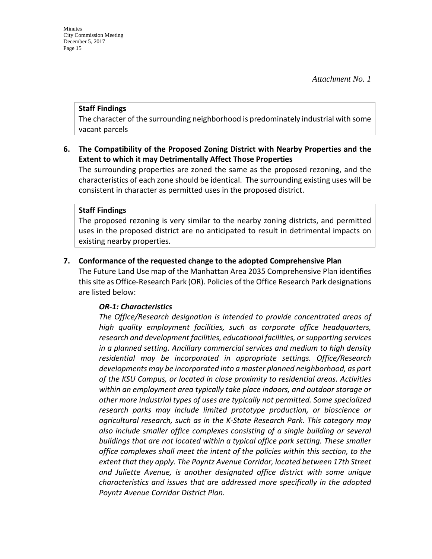#### **Staff Findings**

The character of the surrounding neighborhood is predominately industrial with some vacant parcels

### **6. The Compatibility of the Proposed Zoning District with Nearby Properties and the Extent to which it may Detrimentally Affect Those Properties**

The surrounding properties are zoned the same as the proposed rezoning, and the characteristics of each zone should be identical. The surrounding existing uses will be consistent in character as permitted uses in the proposed district.

#### **Staff Findings**

The proposed rezoning is very similar to the nearby zoning districts, and permitted uses in the proposed district are no anticipated to result in detrimental impacts on existing nearby properties.

### **7. Conformance of the requested change to the adopted Comprehensive Plan**

The Future Land Use map of the Manhattan Area 2035 Comprehensive Plan identifies this site as Office-Research Park (OR). Policies of the Office Research Park designations are listed below:

#### *OR-1: Characteristics*

*The Office/Research designation is intended to provide concentrated areas of high quality employment facilities, such as corporate office headquarters, research and development facilities, educational facilities, or supporting services in a planned setting. Ancillary commercial services and medium to high density residential may be incorporated in appropriate settings. Office/Research developments may be incorporated into a master planned neighborhood, as part of the KSU Campus, or located in close proximity to residential areas. Activities within an employment area typically take place indoors, and outdoor storage or other more industrial types of uses are typically not permitted. Some specialized research parks may include limited prototype production, or bioscience or agricultural research, such as in the K-State Research Park. This category may also include smaller office complexes consisting of a single building or several buildings that are not located within a typical office park setting. These smaller office complexes shall meet the intent of the policies within this section, to the*  extent that they apply. The Poyntz Avenue Corridor, located between 17th Street *and Juliette Avenue, is another designated office district with some unique characteristics and issues that are addressed more specifically in the adopted Poyntz Avenue Corridor District Plan.*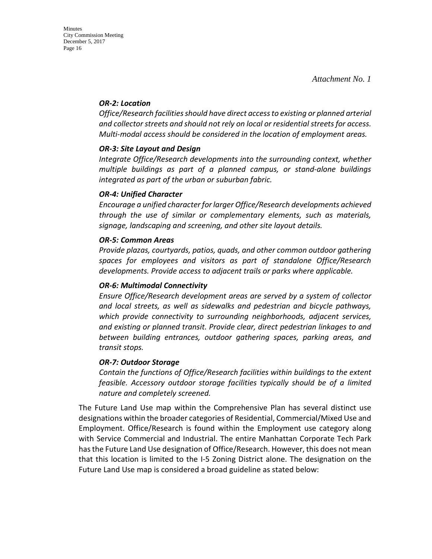#### *OR-2: Location*

*Office/Research facilities should have direct access to existing or planned arterial and collector streets and should not rely on local or residential streets for access. Multi-modal access should be considered in the location of employment areas.* 

### *OR-3: Site Layout and Design*

*Integrate Office/Research developments into the surrounding context, whether multiple buildings as part of a planned campus, or stand-alone buildings integrated as part of the urban or suburban fabric.*

#### *OR-4: Unified Character*

*Encourage a unified character for larger Office/Research developments achieved through the use of similar or complementary elements, such as materials, signage, landscaping and screening, and other site layout details.* 

### *OR-5: Common Areas*

*Provide plazas, courtyards, patios, quads, and other common outdoor gathering spaces for employees and visitors as part of standalone Office/Research developments. Provide access to adjacent trails or parks where applicable.* 

#### *OR-6: Multimodal Connectivity*

*Ensure Office/Research development areas are served by a system of collector and local streets, as well as sidewalks and pedestrian and bicycle pathways, which provide connectivity to surrounding neighborhoods, adjacent services, and existing or planned transit. Provide clear, direct pedestrian linkages to and between building entrances, outdoor gathering spaces, parking areas, and transit stops.* 

#### *OR-7: Outdoor Storage*

*Contain the functions of Office/Research facilities within buildings to the extent feasible. Accessory outdoor storage facilities typically should be of a limited nature and completely screened.*

The Future Land Use map within the Comprehensive Plan has several distinct use designations within the broader categories of Residential, Commercial/Mixed Use and Employment. Office/Research is found within the Employment use category along with Service Commercial and Industrial. The entire Manhattan Corporate Tech Park has the Future Land Use designation of Office/Research. However, this does not mean that this location is limited to the I-5 Zoning District alone. The designation on the Future Land Use map is considered a broad guideline as stated below: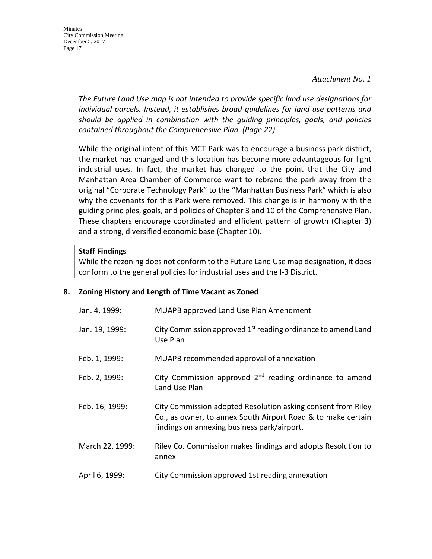**Minutes** City Commission Meeting December 5, 2017 Page 17

> *The Future Land Use map is not intended to provide specific land use designations for individual parcels. Instead, it establishes broad guidelines for land use patterns and should be applied in combination with the guiding principles, goals, and policies contained throughout the Comprehensive Plan. (Page 22)*

> While the original intent of this MCT Park was to encourage a business park district, the market has changed and this location has become more advantageous for light industrial uses. In fact, the market has changed to the point that the City and Manhattan Area Chamber of Commerce want to rebrand the park away from the original "Corporate Technology Park" to the "Manhattan Business Park" which is also why the covenants for this Park were removed. This change is in harmony with the guiding principles, goals, and policies of Chapter 3 and 10 of the Comprehensive Plan. These chapters encourage coordinated and efficient pattern of growth (Chapter 3) and a strong, diversified economic base (Chapter 10).

#### **Staff Findings**

While the rezoning does not conform to the Future Land Use map designation, it does conform to the general policies for industrial uses and the I-3 District.

#### **8. Zoning History and Length of Time Vacant as Zoned**

| Jan. 4, 1999:   | MUAPB approved Land Use Plan Amendment                                                                                                                                      |
|-----------------|-----------------------------------------------------------------------------------------------------------------------------------------------------------------------------|
| Jan. 19, 1999:  | City Commission approved 1 <sup>st</sup> reading ordinance to amend Land<br>Use Plan                                                                                        |
| Feb. 1, 1999:   | MUAPB recommended approval of annexation                                                                                                                                    |
| Feb. 2, 1999:   | City Commission approved $2nd$ reading ordinance to amend<br>Land Use Plan                                                                                                  |
| Feb. 16, 1999:  | City Commission adopted Resolution asking consent from Riley<br>Co., as owner, to annex South Airport Road & to make certain<br>findings on annexing business park/airport. |
| March 22, 1999: | Riley Co. Commission makes findings and adopts Resolution to<br>annex                                                                                                       |
| April 6, 1999:  | City Commission approved 1st reading annexation                                                                                                                             |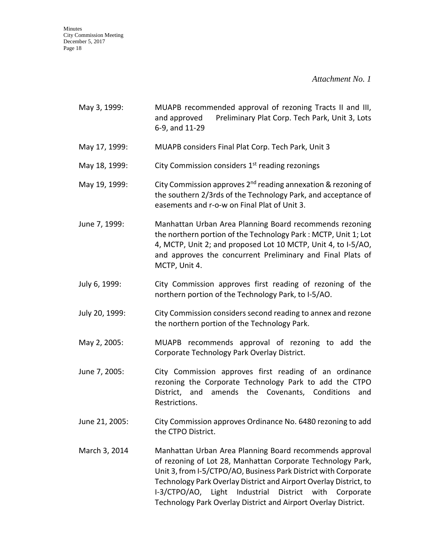*Attachment No. 1* 

| May 3, 1999:   | MUAPB recommended approval of rezoning Tracts II and III,<br>Preliminary Plat Corp. Tech Park, Unit 3, Lots<br>and approved<br>6-9, and 11-29                                                                                                                                                                                                                                                      |
|----------------|----------------------------------------------------------------------------------------------------------------------------------------------------------------------------------------------------------------------------------------------------------------------------------------------------------------------------------------------------------------------------------------------------|
| May 17, 1999:  | MUAPB considers Final Plat Corp. Tech Park, Unit 3                                                                                                                                                                                                                                                                                                                                                 |
| May 18, 1999:  | City Commission considers 1 <sup>st</sup> reading rezonings                                                                                                                                                                                                                                                                                                                                        |
| May 19, 1999:  | City Commission approves 2 <sup>nd</sup> reading annexation & rezoning of<br>the southern 2/3rds of the Technology Park, and acceptance of<br>easements and r-o-w on Final Plat of Unit 3.                                                                                                                                                                                                         |
| June 7, 1999:  | Manhattan Urban Area Planning Board recommends rezoning<br>the northern portion of the Technology Park: MCTP, Unit 1; Lot<br>4, MCTP, Unit 2; and proposed Lot 10 MCTP, Unit 4, to I-5/AO,<br>and approves the concurrent Preliminary and Final Plats of<br>MCTP, Unit 4.                                                                                                                          |
| July 6, 1999:  | City Commission approves first reading of rezoning of the<br>northern portion of the Technology Park, to I-5/AO.                                                                                                                                                                                                                                                                                   |
| July 20, 1999: | City Commission considers second reading to annex and rezone<br>the northern portion of the Technology Park.                                                                                                                                                                                                                                                                                       |
| May 2, 2005:   | MUAPB recommends approval of rezoning to add the<br>Corporate Technology Park Overlay District.                                                                                                                                                                                                                                                                                                    |
| June 7, 2005:  | City Commission approves first reading of an ordinance<br>rezoning the Corporate Technology Park to add the CTPO<br>District, and amends the Covenants, Conditions<br>and<br>Restrictions.                                                                                                                                                                                                         |
| June 21, 2005: | City Commission approves Ordinance No. 6480 rezoning to add<br>the CTPO District.                                                                                                                                                                                                                                                                                                                  |
| March 3, 2014  | Manhattan Urban Area Planning Board recommends approval<br>of rezoning of Lot 28, Manhattan Corporate Technology Park,<br>Unit 3, from I-5/CTPO/AO, Business Park District with Corporate<br>Technology Park Overlay District and Airport Overlay District, to<br>I-3/CTPO/AO, Light<br>Industrial<br>District with<br>Corporate<br>Technology Park Overlay District and Airport Overlay District. |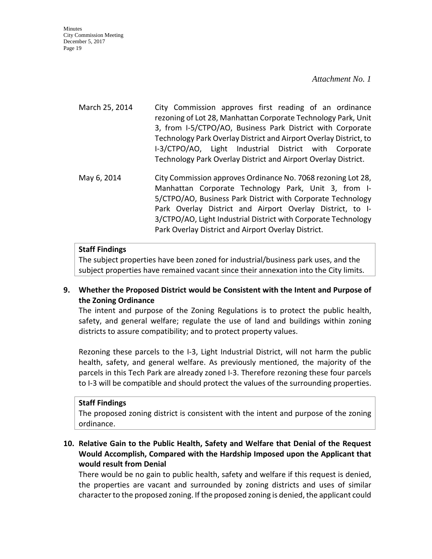#### *Attachment No. 1*

March 25, 2014 City Commission approves first reading of an ordinance rezoning of Lot 28, Manhattan Corporate Technology Park, Unit 3, from I-5/CTPO/AO, Business Park District with Corporate Technology Park Overlay District and Airport Overlay District, to I-3/CTPO/AO, Light Industrial District with Corporate Technology Park Overlay District and Airport Overlay District.

May 6, 2014 City Commission approves Ordinance No. 7068 rezoning Lot 28, Manhattan Corporate Technology Park, Unit 3, from I-5/CTPO/AO, Business Park District with Corporate Technology Park Overlay District and Airport Overlay District, to I-3/CTPO/AO, Light Industrial District with Corporate Technology Park Overlay District and Airport Overlay District.

#### **Staff Findings**

The subject properties have been zoned for industrial/business park uses, and the subject properties have remained vacant since their annexation into the City limits.

## **9. Whether the Proposed District would be Consistent with the Intent and Purpose of the Zoning Ordinance**

The intent and purpose of the Zoning Regulations is to protect the public health, safety, and general welfare; regulate the use of land and buildings within zoning districts to assure compatibility; and to protect property values.

Rezoning these parcels to the I-3, Light Industrial District, will not harm the public health, safety, and general welfare. As previously mentioned, the majority of the parcels in this Tech Park are already zoned I-3. Therefore rezoning these four parcels to I-3 will be compatible and should protect the values of the surrounding properties.

#### **Staff Findings**

The proposed zoning district is consistent with the intent and purpose of the zoning ordinance.

# **10. Relative Gain to the Public Health, Safety and Welfare that Denial of the Request Would Accomplish, Compared with the Hardship Imposed upon the Applicant that would result from Denial**

There would be no gain to public health, safety and welfare if this request is denied, the properties are vacant and surrounded by zoning districts and uses of similar character to the proposed zoning. If the proposed zoning is denied, the applicant could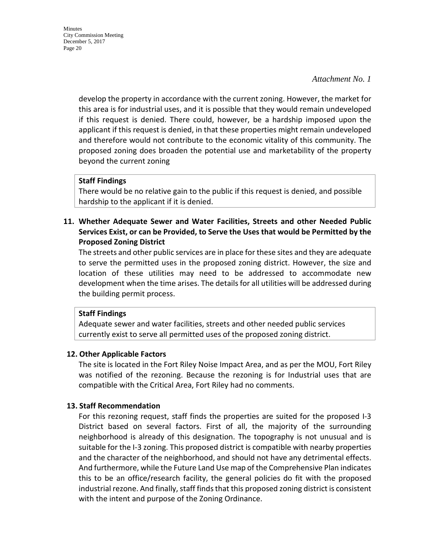develop the property in accordance with the current zoning. However, the market for this area is for industrial uses, and it is possible that they would remain undeveloped if this request is denied. There could, however, be a hardship imposed upon the applicant if this request is denied, in that these properties might remain undeveloped and therefore would not contribute to the economic vitality of this community. The proposed zoning does broaden the potential use and marketability of the property beyond the current zoning

### **Staff Findings**

There would be no relative gain to the public if this request is denied, and possible hardship to the applicant if it is denied.

**11. Whether Adequate Sewer and Water Facilities, Streets and other Needed Public Services Exist, or can be Provided, to Serve the Uses that would be Permitted by the Proposed Zoning District**

The streets and other public services are in place for these sites and they are adequate to serve the permitted uses in the proposed zoning district. However, the size and location of these utilities may need to be addressed to accommodate new development when the time arises. The details for all utilities will be addressed during the building permit process.

#### **Staff Findings**

Adequate sewer and water facilities, streets and other needed public services currently exist to serve all permitted uses of the proposed zoning district.

#### **12. Other Applicable Factors**

The site is located in the Fort Riley Noise Impact Area, and as per the MOU, Fort Riley was notified of the rezoning. Because the rezoning is for Industrial uses that are compatible with the Critical Area, Fort Riley had no comments.

#### **13. Staff Recommendation**

For this rezoning request, staff finds the properties are suited for the proposed I-3 District based on several factors. First of all, the majority of the surrounding neighborhood is already of this designation. The topography is not unusual and is suitable for the I-3 zoning. This proposed district is compatible with nearby properties and the character of the neighborhood, and should not have any detrimental effects. And furthermore, while the Future Land Use map of the Comprehensive Plan indicates this to be an office/research facility, the general policies do fit with the proposed industrial rezone. And finally, staff finds that this proposed zoning district is consistent with the intent and purpose of the Zoning Ordinance.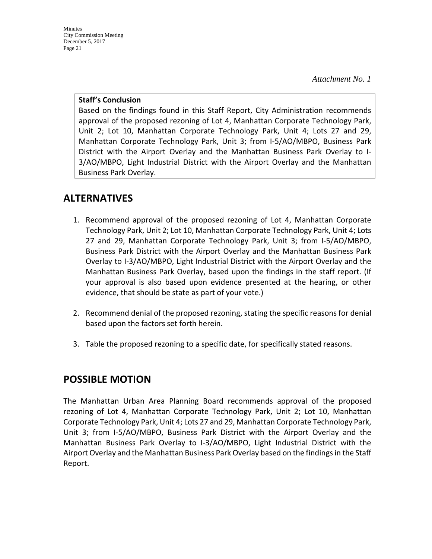*Attachment No. 1* 

#### **Staff's Conclusion**

Based on the findings found in this Staff Report, City Administration recommends approval of the proposed rezoning of Lot 4, Manhattan Corporate Technology Park, Unit 2; Lot 10, Manhattan Corporate Technology Park, Unit 4; Lots 27 and 29, Manhattan Corporate Technology Park, Unit 3; from I-5/AO/MBPO, Business Park District with the Airport Overlay and the Manhattan Business Park Overlay to I-3/AO/MBPO, Light Industrial District with the Airport Overlay and the Manhattan Business Park Overlay.

# **ALTERNATIVES**

- 1. Recommend approval of the proposed rezoning of Lot 4, Manhattan Corporate Technology Park, Unit 2; Lot 10, Manhattan Corporate Technology Park, Unit 4; Lots 27 and 29, Manhattan Corporate Technology Park, Unit 3; from I-5/AO/MBPO, Business Park District with the Airport Overlay and the Manhattan Business Park Overlay to I-3/AO/MBPO, Light Industrial District with the Airport Overlay and the Manhattan Business Park Overlay, based upon the findings in the staff report. (If your approval is also based upon evidence presented at the hearing, or other evidence, that should be state as part of your vote.)
- 2. Recommend denial of the proposed rezoning, stating the specific reasons for denial based upon the factors set forth herein.
- 3. Table the proposed rezoning to a specific date, for specifically stated reasons.

# **POSSIBLE MOTION**

The Manhattan Urban Area Planning Board recommends approval of the proposed rezoning of Lot 4, Manhattan Corporate Technology Park, Unit 2; Lot 10, Manhattan Corporate Technology Park, Unit 4; Lots 27 and 29, Manhattan Corporate Technology Park, Unit 3; from I-5/AO/MBPO, Business Park District with the Airport Overlay and the Manhattan Business Park Overlay to I-3/AO/MBPO, Light Industrial District with the Airport Overlay and the Manhattan Business Park Overlay based on the findings in the Staff Report.